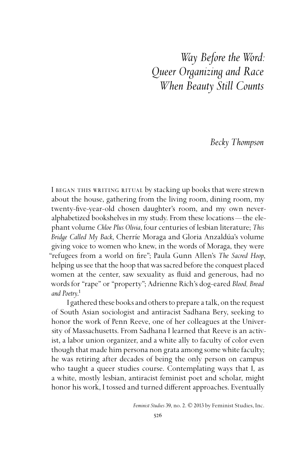*Way Before the Word: Queer Organizing and Race When Beauty Still Counts*

*Becky Thompson*

I BEGAN THIS WRITING RITUAL by stacking up books that were strewn about the house, gathering from the living room, dining room, my twenty-five-year-old chosen daughter's room, and my own neveralphabetized bookshelves in my study. From these locations —the elephant volume *Chloe Plus Olivia*, four centuries of lesbian literature; *This Bridge Called My Back*, Cherríe Moraga and Gloria Anzaldúa's volume giving voice to women who knew, in the words of Moraga, they were "refugees from a world on fire"; Paula Gunn Allen's *The Sacred Hoop*, helping us see that the hoop that was sacred before the conquest placed women at the center, saw sexuality as fluid and generous, had no words for "rape" or "property"; Adrienne Rich's dog-eared *Blood, Bread*  and Poetry.<sup>1</sup>

I gathered these books and others to prepare a talk, on the request of South Asian sociologist and antiracist Sadhana Bery, seeking to honor the work of Penn Reeve, one of her colleagues at the University of Massachusetts. From Sadhana I learned that Reeve is an activist, a labor union organizer, and a white ally to faculty of color even though that made him persona non grata among some white faculty; he was retiring after decades of being the only person on campus who taught a queer studies course. Contemplating ways that I, as a white, mostly lesbian, antiracist feminist poet and scholar, might honor his work, I tossed and turned different approaches. Eventually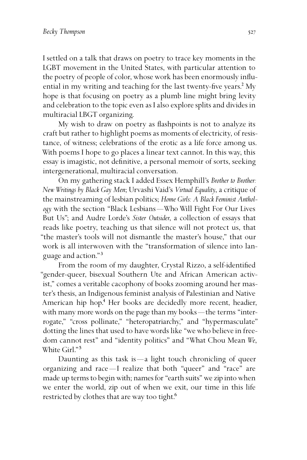I settled on a talk that draws on poetry to trace key moments in the LGBT movement in the United States, with particular attention to the poetry of people of color, whose work has been enormously influential in my writing and teaching for the last twenty-five years.<sup>2</sup> My hope is that focusing on poetry as a plumb line might bring levity and celebration to the topic even as I also explore splits and divides in multiracial LBGT organizing.

My wish to draw on poetry as flashpoints is not to analyze its craft but rather to highlight poems as moments of electricity, of resistance, of witness; celebrations of the erotic as a life force among us. With poems I hope to go places a linear text cannot. In this way, this essay is imagistic, not definitive, a personal memoir of sorts, seeking intergenerational, multiracial conversation.

On my gathering stack I added Essex Hemphill's *Brother to Brother: New Writings by Black Gay Men*; Urvashi Vaid's *Virtual Equality*, a critique of the mainstreaming of lesbian politics; *Home Girls: A Black Feminist Anthology* with the section "Black Lesbians —Who Will Fight For Our Lives But Us"; and Audre Lorde's *Sister Outsider*, a collection of essays that reads like poetry, teaching us that silence will not protect us, that "the master's tools will not dismantle the master's house," that our work is all interwoven with the "transformation of silence into language and action."³

From the room of my daughter, Crystal Rizzo, a self-identified "gender-queer, bisexual Southern Ute and African American activist," comes a veritable cacophony of books zooming around her master's thesis, an Indigenous feminist analysis of Palestinian and Native American hip hop.<sup>4</sup> Her books are decidedly more recent, headier, with many more words on the page than my books—the terms "interrogate," "cross pollinate," "heteropatriarchy," and "hypermasculate" dotting the lines that used to have words like "we who believe in freedom cannot rest" and "identity politics" and "What Chou Mean *We*, White Girl<sup>"5</sup>

Daunting as this task is  $-a$  light touch chronicling of queer organizing and race —I realize that both "queer" and "race" are made up terms to begin with; names for "earth suits" we zip into when we enter the world, zip out of when we exit, our time in this life restricted by clothes that are way too tight.<sup>6</sup>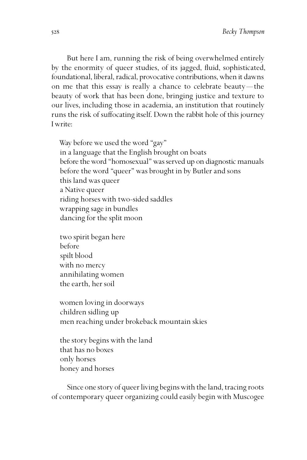But here I am, running the risk of being overwhelmed entirely by the enormity of queer studies, of its jagged, fluid, sophisticated, foundational, liberal, radical, provocative contributions, when it dawns on me that this essay is really a chance to celebrate beauty—the beauty of work that has been done, bringing justice and texture to our lives, including those in academia, an institution that routinely runs the risk of suffocating itself. Down the rabbit hole of this journey I write:

Way before we used the word "gay" in a language that the English brought on boats before the word "homosexual" was served up on diagnostic manuals before the word "queer" was brought in by Butler and sons this land was queer a Native queer riding horses with two-sided saddles wrapping sage in bundles dancing for the split moon

two spirit began here before spilt blood with no mercy annihilating women the earth, her soil

women loving in doorways children sidling up men reaching under brokeback mountain skies

the story begins with the land that has no boxes only horses honey and horses

Since one story of queer living begins with the land, tracing roots of contemporary queer organizing could easily begin with Muscogee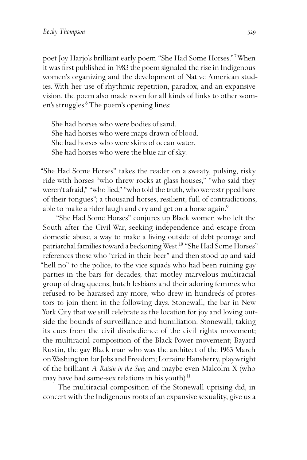poet Joy Harjo's brilliant early poem "She Had Some Horses."<sup>7</sup> When it was first published in 1983 the poem signaled the rise in Indigenous women's organizing and the development of Native American studies. With her use of rhythmic repetition, paradox, and an expansive vision, the poem also made room for all kinds of links to other women's struggles.<sup>8</sup> The poem's opening lines:

She had horses who were bodies of sand. She had horses who were maps drawn of blood. She had horses who were skins of ocean water. She had horses who were the blue air of sky.

"She Had Some Horses" takes the reader on a sweaty, pulsing, risky ride with horses "who threw rocks at glass houses," "who said they weren't afraid," "who lied," "who told the truth, who were stripped bare of their tongues"; a thousand horses, resilient, full of contradictions, able to make a rider laugh and cry and get on a horse again.<sup>9</sup>

"She Had Some Horses" conjures up Black women who left the South after the Civil War, seeking independence and escape from domestic abuse, a way to make a living outside of debt peonage and patriarchal families toward a beckoning West.<sup>10</sup> "She Had Some Horses" references those who "cried in their beer" and then stood up and said "hell no" to the police, to the vice squads who had been ruining gay parties in the bars for decades; that motley marvelous multiracial group of drag queens, butch lesbians and their adoring femmes who refused to be harassed any more, who drew in hundreds of protestors to join them in the following days. Stonewall, the bar in New York City that we still celebrate as the location for joy and loving outside the bounds of surveillance and humiliation. Stonewall, taking its cues from the civil disobedience of the civil rights movement; the multiracial composition of the Black Power movement; Bayard Rustin, the gay Black man who was the architect of the 1963 March on Washington for Jobs and Freedom; Lorraine Hansberry, playwright of the brilliant *A Raisin in the Sun*; and maybe even Malcolm X (who may have had same-sex relations in his youth).<sup>11</sup>

The multiracial composition of the Stonewall uprising did, in concert with the Indigenous roots of an expansive sexuality, give us a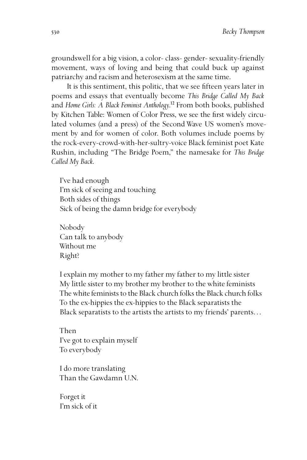groundswell for a big vision, a color- class- gender- sexuality-friendly movement, ways of loving and being that could buck up against patriarchy and racism and heterosexism at the same time.

It is this sentiment, this politic, that we see fifteen years later in poems and essays that eventually become *This Bridge Called My Back* and *Home Girls: A Black Feminist Anthology*.<sup>12</sup> From both books, published by Kitchen Table: Women of Color Press, we see the first widely circulated volumes (and a press) of the SecondWave US women's movement by and for women of color. Both volumes include poems by the rock-every-crowd-with-her-sultry-voice Black feminist poet Kate Rushin, including "The Bridge Poem," the namesake for *This Bridge Called My Back*.

I've had enough I'm sick of seeing and touching Both sides of things Sick of being the damn bridge for everybody

Nobody Can talk to anybody Without me Right?

I explain my mother to my father my father to my little sister My little sister to my brother my brother to the white feminists The white feminists to the Black church folks the Black church folks To the ex-hippies the ex-hippies to the Black separatists the Black separatists to the artists the artists to my friends' parents…

Then I've got to explain myself To everybody

I do more translating Than the Gawdamn U.N.

Forget it I'm sick of it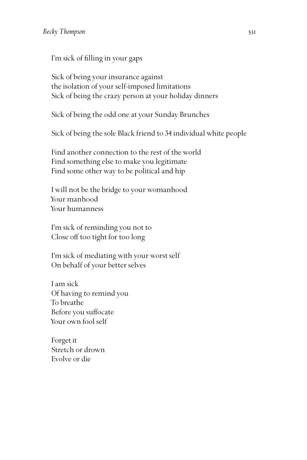I'm sick of filling in your gaps

Sick of being your insurance against the isolation of your self-imposed limitations Sick of being the crazy person at your holiday dinners

Sick of being the odd one at your Sunday Brunches

Sick of being the sole Black friend to 34 individual white people

Find another connection to the rest of the world Find something else to make you legitimate Find some other way to be political and hip

I will not be the bridge to your womanhood Your manhood Your humanness

I'm sick of reminding you not to Close off too tight for too long

I'm sick of mediating with your worst self On behalf of your better selves

I am sick Of having to remind you To breathe Before you suffocate Your own fool self

Forget it Stretch or drown Evolve or die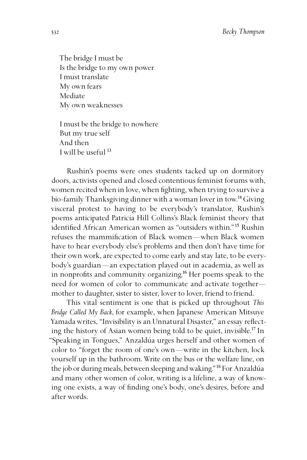The bridge I must be Is the bridge to my own power I must translate My own fears Mediate My own weaknesses

I must be the bridge to nowhere But my true self And then I will be useful  $^{13}$ 

Rushin's poems were ones students tacked up on dormitory doors, activists opened and closed contentious feminist forums with, women recited when in love, when fighting, when trying to survive a bio-family Thanksgiving dinner with a woman lover in tow.<sup>14</sup> Giving visceral protest to having to be everybody's translator, Rushin's poems anticipated Patricia Hill Collins's Black feminist theory that identified African American women as "outsiders within."<sup>15</sup> Rushin refuses the mammification of Black women—when Black women have to hear everybody else's problems and then don't have time for their own work, are expected to come early and stay late, to be everybody's guardian—an expectation played out in academia, as well as in nonprofits and community organizing.<sup>16</sup> Her poems speak to the need for women of color to communicate and activate together mother to daughter, sister to sister, lover to lover, friend to friend.

This vital sentiment is one that is picked up throughout *This Bridge Called My Back*, for example, when Japanese American Mitsuye Yamada writes, "Invisibility is an Unnatural Disaster," an essay reflecting the history of Asian women being told to be quiet, invisible.<sup>17</sup> In "Speaking in Tongues," Anzaldúa urges herself and other women of color to "forget the room of one's own—write in the kitchen, lock yourself up in the bathroom. Write on the bus or the welfare line, on the job or during meals, between sleeping and waking."<sup>18</sup> For Anzaldúa and many other women of color, writing is a lifeline, a way of knowing one exists, a way of finding one's body, one's desires, before and after words.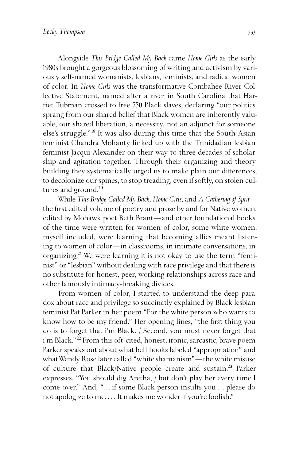Alongside *This Bridge Called My Back* came *Home Girls* as the early 1980s brought a gorgeous blossoming of writing and activism by variously self-named womanists, lesbians, feminists, and radical women of color. In *Home Girls* was the transformative Combahee River Collective Statement, named after a river in South Carolina that Harriet Tubman crossed to free 750 Black slaves, declaring "our politics sprang from our shared belief that Black women are inherently valuable, our shared liberation, a necessity, not an adjunct for someone else's struggle."<sup>19</sup> It was also during this time that the South Asian feminist Chandra Mohanty linked up with the Trinidadian lesbian feminist Jacqui Alexander on their way to three decades of scholarship and agitation together. Through their organizing and theory building they systematically urged us to make plain our differences, to decolonize our spines, to stop treading, even if softly, on stolen cultures and ground.<sup>20</sup>

While *This Bridge Called My Back*, *Home Girls*, and *A Gathering of Sprit* the first edited volume of poetry and prose by and for Native women, edited by Mohawk poet Beth Brant —and other foundational books of the time were written for women of color, some white women, myself included, were learning that becoming allies meant listening to women of color—in classrooms, in intimate conversations, in organizing.<sup>21</sup> We were learning it is not okay to use the term "feminist" or "lesbian" without dealing with race privilege and that there is no substitute for honest, peer, working relationships across race and other famously intimacy-breaking divides.

From women of color, I started to understand the deep paradox about race and privilege so succinctly explained by Black lesbian feminist Pat Parker in her poem "For the white person who wants to know how to be my friend." Her opening lines, "the first thing you do is to forget that i'm Black. / Second, you must never forget that i'm Black."<sup>22</sup> From this oft-cited, honest, ironic, sarcastic, brave poem Parker speaks out about what bell hooks labeled "appropriation" and what Wendy Rose later called "white shamanism"—the white misuse of culture that Black/Native people create and sustain.<sup>23</sup> Parker expresses, "You should dig Aretha, / but don't play her every time I come over." And, "…if some Black person insults you…please do not apologize to me…. It makes me wonder if you're foolish."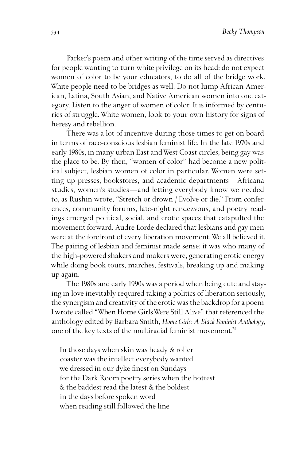Parker's poem and other writing of the time served as directives for people wanting to turn white privilege on its head: do not expect women of color to be your educators, to do all of the bridge work. White people need to be bridges as well. Do not lump African American, Latina, South Asian, and Native American women into one category. Listen to the anger of women of color. It is informed by centuries of struggle. White women, look to your own history for signs of heresy and rebellion.

There was a lot of incentive during those times to get on board in terms of race-conscious lesbian feminist life. In the late 1970s and early 1980s, in many urban East and West Coast circles, being gay was the place to be. By then, "women of color" had become a new political subject, lesbian women of color in particular. Women were setting up presses, bookstores, and academic departments —Africana studies, women's studies —and letting everybody know we needed to, as Rushin wrote, "Stretch or drown / Evolve or die." From conferences, community forums, late-night rendezvous, and poetry readings emerged political, social, and erotic spaces that catapulted the movement forward. Audre Lorde declared that lesbians and gay men were at the forefront of every liberation movement. We all believed it. The pairing of lesbian and feminist made sense: it was who many of the high-powered shakers and makers were, generating erotic energy while doing book tours, marches, festivals, breaking up and making up again.

The 1980s and early 1990s was a period when being cute and staying in love inevitably required taking a politics of liberation seriously, the synergism and creativity of the erotic was the backdrop for a poem I wrote called "When Home Girls Were Still Alive" that referenced the anthology edited by Barbara Smith, *Home Girls: A Black Feminist Anthology*, one of the key texts of the multiracial feminist movement.<sup>24</sup>

In those days when skin was heady & roller coaster was the intellect everybody wanted we dressed in our dyke finest on Sundays for the Dark Room poetry series when the hottest & the baddest read the latest & the boldest in the days before spoken word when reading still followed the line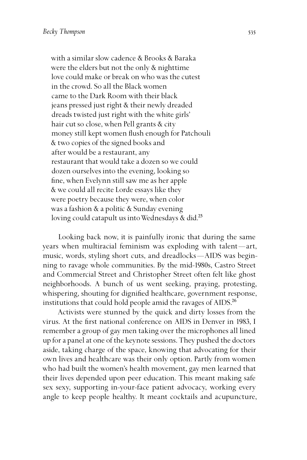with a similar slow cadence & Brooks & Baraka were the elders but not the only & nighttime love could make or break on who was the cutest in the crowd. So all the Black women came to the Dark Room with their black jeans pressed just right & their newly dreaded dreads twisted just right with the white girls' hair cut so close, when Pell grants & city money still kept women flush enough for Patchouli & two copies of the signed books and after would be a restaurant, any restaurant that would take a dozen so we could dozen ourselves into the evening, looking so fine, when Evelynn still saw me as her apple & we could all recite Lorde essays like they were poetry because they were, when color was a fashion & a politic & Sunday evening loving could catapult us into Wednesdays & did.<sup>25</sup>

Looking back now, it is painfully ironic that during the same years when multiracial feminism was exploding with talent —art, music, words, styling short cuts, and dreadlocks —AIDS was beginning to ravage whole communities. By the mid-1980s, Castro Street and Commercial Street and Christopher Street often felt like ghost neighborhoods. A bunch of us went seeking, praying, protesting, whispering, shouting for dignified healthcare, government response, institutions that could hold people amid the ravages of AIDS.<sup>26</sup>

Activists were stunned by the quick and dirty losses from the virus. At the first national conference on AIDS in Denver in 1983, I remember a group of gay men taking over the microphones all lined up for a panel at one of the keynote sessions. They pushed the doctors aside, taking charge of the space, knowing that advocating for their own lives and healthcare was their only option. Partly from women who had built the women's health movement, gay men learned that their lives depended upon peer education. This meant making safe sex sexy, supporting in-your-face patient advocacy, working every angle to keep people healthy. It meant cocktails and acupuncture,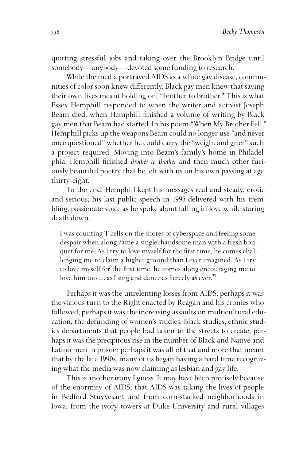quitting stressful jobs and taking over the Brooklyn Bridge until somebody—anybody—devoted some funding to research.

While the media portrayed AIDS as a white gay disease, communities of color soon knew differently. Black gay men knew that saving their own lives meant holding on, "brother to brother." This is what Essex Hemphill responded to when the writer and activist Joseph Beam died, when Hemphill finished a volume of writing by Black gay men that Beam had started. In his poem "When My Brother Fell," Hemphill picks up the weapons Beam could no longer use "and never once questioned" whether he could carry the "weight and grief" such a project required. Moving into Beam's family's home in Philadelphia, Hemphill finished *Brother to Brother* and then much other furiously beautiful poetry that he left with us on his own passing at age thirty-eight.

To the end, Hemphill kept his messages real and steady, erotic and serious; his last public speech in 1995 delivered with his trembling, passionate voice as he spoke about falling in love while staring death down.

I was counting T cells on the shores of cyberspace and feeling some despair when along came a single, handsome man with a fresh bouquet for me. As I try to love myself for the first time, he comes challenging me to claim a higher ground than I ever imagined. As I try to love myself for the first time, he comes along encouraging me to love him too  $\dots$  as I sing and dance as fiercely as ever.<sup>27</sup>

Perhaps it was the unrelenting losses from AIDS; perhaps it was the vicious turn to the Right enacted by Reagan and his cronies who followed; perhaps it was the increasing assaults on multicultural education, the defunding of women's studies, Black studies, ethnic studies departments that people had taken to the streets to create; perhaps it was the precipitous rise in the number of Black and Native and Latino men in prison; perhaps it was all of that and more that meant that by the late 1990s, many of us began having a hard time recognizing what the media was now claiming as lesbian and gay life.

This is another irony I guess. It may have been precisely because of the enormity of AIDS, that AIDS was taking the lives of people in Bedford Stuyvesant and from corn-stacked neighborhoods in Iowa, from the ivory towers at Duke University and rural villages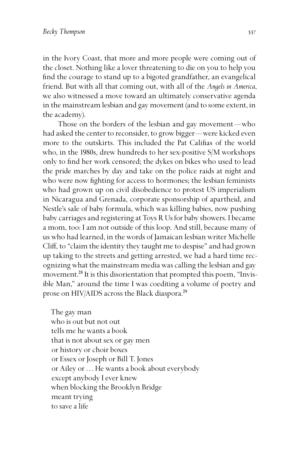in the Ivory Coast, that more and more people were coming out of the closet. Nothing like a lover threatening to die on you to help you find the courage to stand up to a bigoted grandfather, an evangelical friend. But with all that coming out, with all of the *Angels in America*, we also witnessed a move toward an ultimately conservative agenda in the mainstream lesbian and gay movement (and to some extent, in the academy).

Those on the borders of the lesbian and gay movement —who had asked the center to reconsider, to grow bigger—were kicked even more to the outskirts. This included the Pat Califias of the world who, in the 1980s, drew hundreds to her sex-positive S/M workshops only to find her work censored; the dykes on bikes who used to lead the pride marches by day and take on the police raids at night and who were now fighting for access to hormones; the lesbian feminists who had grown up on civil disobedience to protest US imperialism in Nicaragua and Grenada, corporate sponsorship of apartheid, and Nestle's sale of baby formula, which was killing babies, now pushing baby carriages and registering at Toys R Us for baby showers. I became a mom, too: I am not outside of this loop. And still, because many of us who had learned, in the words of Jamaican lesbian writer Michelle Cliff, to "claim the identity they taught me to despise" and had grown up taking to the streets and getting arrested, we had a hard time recognizing what the mainstream media was calling the lesbian and gay movement.<sup>28</sup> It is this disorientation that prompted this poem, "Invisible Man," around the time I was coediting a volume of poetry and prose on HIV/AIDS across the Black diaspora.<sup>29</sup>

The gay man who is out but not out tells me he wants a book that is not about sex or gay men or history or choir boxes or Essex or Joseph or Bill T. Jones or Ailey or…He wants a book about everybody except anybody I ever knew when blocking the Brooklyn Bridge meant trying to save a life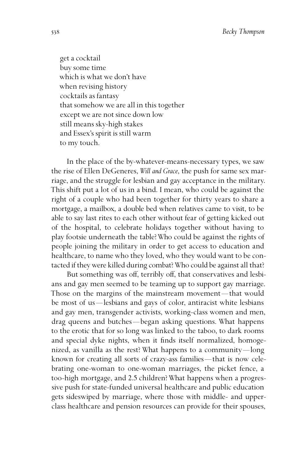get a cocktail buy some time which is what we don't have when revising history cocktails as fantasy that somehow we are all in this together except we are not since down low still means sky-high stakes and Essex's spirit is still warm to my touch.

In the place of the by-whatever-means-necessary types, we saw the rise of Ellen DeGeneres, *Will and Grace*, the push for same sex marriage, and the struggle for lesbian and gay acceptance in the military. This shift put a lot of us in a bind. I mean, who could be against the right of a couple who had been together for thirty years to share a mortgage, a mailbox, a double bed when relatives came to visit, to be able to say last rites to each other without fear of getting kicked out of the hospital, to celebrate holidays together without having to play footsie underneath the table? Who could be against the rights of people joining the military in order to get access to education and healthcare, to name who they loved, who they would want to be contacted if they were killed during combat? Who could be against all that?

But something was off, terribly off, that conservatives and lesbians and gay men seemed to be teaming up to support gay marriage. Those on the margins of the mainstream movement —that would be most of us —lesbians and gays of color, antiracist white lesbians and gay men, transgender activists, working-class women and men, drag queens and butches —began asking questions. What happens to the erotic that for so long was linked to the taboo, to dark rooms and special dyke nights, when it finds itself normalized, homogenized, as vanilla as the rest? What happens to a community—long known for creating all sorts of crazy-ass families —that is now celebrating one-woman to one-woman marriages, the picket fence, a too-high mortgage, and 2.5 children? What happens when a progressive push for state-funded universal healthcare and public education gets sideswiped by marriage, where those with middle- and upperclass healthcare and pension resources can provide for their spouses,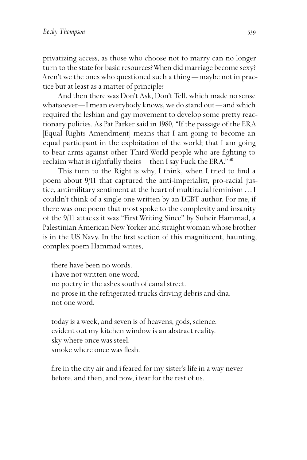privatizing access, as those who choose not to marry can no longer turn to the state for basic resources? When did marriage become sexy? Aren't we the ones who questioned such a thing - maybe not in practice but at least as a matter of principle?

And then there was Don't Ask, Don't Tell, which made no sense whatsoever—I mean everybody knows, we do stand out —and which required the lesbian and gay movement to develop some pretty reactionary policies. As Pat Parker said in 1980, "If the passage of the ERA [Equal Rights Amendment] means that I am going to become an equal participant in the exploitation of the world; that I am going to bear arms against other Third World people who are fighting to reclaim what is rightfully theirs—then I say Fuck the ERA." $^{30}$ 

This turn to the Right is why, I think, when I tried to find a poem about 9/11 that captured the anti-imperialist, pro-racial justice, antimilitary sentiment at the heart of multiracial feminism…I couldn't think of a single one written by an LGBT author. For me, if there was one poem that most spoke to the complexity and insanity of the 9/11 attacks it was "First Writing Since" by Suheir Hammad, a Palestinian American New Yorker and straight woman whose brother is in the US Navy. In the first section of this magnificent, haunting, complex poem Hammad writes,

there have been no words. i have not written one word. no poetry in the ashes south of canal street. no prose in the refrigerated trucks driving debris and dna. not one word.

today is a week, and seven is of heavens, gods, science. evident out my kitchen window is an abstract reality. sky where once was steel. smoke where once was flesh.

fire in the city air and i feared for my sister's life in a way never before. and then, and now, i fear for the rest of us.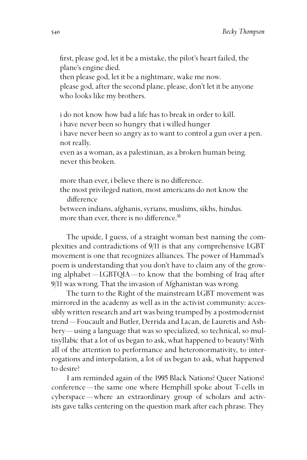first, please god, let it be a mistake, the pilot's heart failed, the plane's engine died.

then please god, let it be a nightmare, wake me now. please god, after the second plane, please, don't let it be anyone who looks like my brothers.

i do not know how bad a life has to break in order to kill. i have never been so hungry that i willed hunger i have never been so angry as to want to control a gun over a pen. not really. even as a woman, as a palestinian, as a broken human being.

never this broken.

more than ever, i believe there is no difference. the most privileged nation, most americans do not know the difference

between indians, afghanis, syrians, muslims, sikhs, hindus. more than ever, there is no difference. $31$ 

The upside, I guess, of a straight woman best naming the complexities and contradictions of 9/11 is that any comprehensive LGBT movement is one that recognizes alliances. The power of Hammad's poem is understanding that you don't have to claim any of the growing alphabet —LGBTQIA—to know that the bombing of Iraq after 9/11 was wrong. That the invasion of Afghanistan was wrong.

The turn to the Right of the mainstream LGBT movement was mirrored in the academy as well as in the activist community: accessibly written research and art was being trumped by a postmodernist trend—Foucault and Butler, Derrida and Lacan, de Lauretis and Ashbery—using a language that was so specialized, so technical, so multisyllabic that a lot of us began to ask, what happened to beauty? With all of the attention to performance and heteronormativity, to interrogations and interpolation, a lot of us began to ask, what happened to desire?

I am reminded again of the 1995 Black Nations? Queer Nations? conference —the same one where Hemphill spoke about T-cells in cyberspace —where an extraordinary group of scholars and activists gave talks centering on the question mark after each phrase. They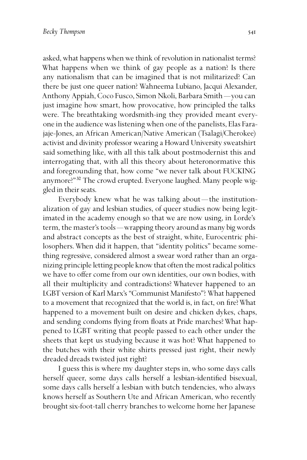asked, what happens when we think of revolution in nationalist terms? What happens when we think of gay people as a nation? Is there any nationalism that can be imagined that is not militarized? Can there be just one queer nation? Wahneema Lubiano, Jacqui Alexander, Anthony Appiah, Coco Fusco, Simon Nkoli, Barbara Smith —you can just imagine how smart, how provocative, how principled the talks were. The breathtaking wordsmith-ing they provided meant everyone in the audience was listening when one of the panelists, Elas Farajaje-Jones, an African American/Native American (Tsalagi/Cherokee) activist and divinity professor wearing a Howard University sweatshirt said something like, with all this talk about postmodernist this and interrogating that, with all this theory about heteronormative this and foregrounding that, how come "we never talk about FUCKING anymore?"<sup>32</sup> The crowd erupted. Everyone laughed. Many people wiggled in their seats.

Everybody knew what he was talking about —the institutionalization of gay and lesbian studies, of queer studies now being legitimated in the academy enough so that we are now using, in Lorde's term, the master's tools —wrapping theory around as many big words and abstract concepts as the best of straight, white, Eurocentric philosophers. When did it happen, that "identity politics" became something regressive, considered almost a swear word rather than an organizing principle letting people know that often the most radical politics we have to offer come from our own identities, our own bodies, with all their multiplicity and contradictions? Whatever happened to an LGBT version of Karl Marx's "Communist Manifesto"? What happened to a movement that recognized that the world is, in fact, on fire? What happened to a movement built on desire and chicken dykes, chaps, and sending condoms flying from floats at Pride marches? What happened to LGBT writing that people passed to each other under the sheets that kept us studying because it was hot? What happened to the butches with their white shirts pressed just right, their newly dreaded dreads twisted just right?

I guess this is where my daughter steps in, who some days calls herself queer, some days calls herself a lesbian-identified bisexual, some days calls herself a lesbian with butch tendencies, who always knows herself as Southern Ute and African American, who recently brought six-foot-tall cherry branches to welcome home her Japanese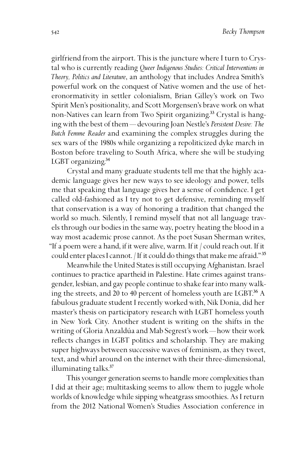girlfriend from the airport. This is the juncture where I turn to Crystal who is currently reading *Queer Indigenous Studies: Critical Interventions in Theory, Politics and Literature*, an anthology that includes Andrea Smith's powerful work on the conquest of Native women and the use of heteronormativity in settler colonialism, Brian Gilley's work on Two Spirit Men's positionality, and Scott Morgensen's brave work on what non-Natives can learn from Two Spirit organizing.<sup>33</sup> Crystal is hanging with the best of them—devouring Joan Nestle's *Persistent Desire: The Butch Femme Reader* and examining the complex struggles during the sex wars of the 1980s while organizing a repoliticized dyke march in Boston before traveling to South Africa, where she will be studying LGBT organizing.<sup>34</sup>

Crystal and many graduate students tell me that the highly academic language gives her new ways to see ideology and power, tells me that speaking that language gives her a sense of confidence. I get called old-fashioned as I try not to get defensive, reminding myself that conservation is a way of honoring a tradition that changed the world so much. Silently, I remind myself that not all language travels through our bodies in the same way, poetry heating the blood in a way most academic prose cannot. As the poet Susan Sherman writes, "If a poem were a hand, if it were alive, warm. If it / could reach out. If it could enter places I cannot. *If it could do things that make me afraid.*"<sup>35</sup>

Meanwhile the United States is still occupying Afghanistan. Israel continues to practice apartheid in Palestine. Hate crimes against transgender, lesbian, and gay people continue to shake fear into many walking the streets, and 20 to 40 percent of homeless youth are LGBT.<sup>36</sup> A fabulous graduate student I recently worked with, Nik Donia, did her master's thesis on participatory research with LGBT homeless youth in New York City. Another student is writing on the shifts in the writing of Gloria Anzaldúa and Mab Segrest's work—how their work reflects changes in LGBT politics and scholarship. They are making super highways between successive waves of feminism, as they tweet, text, and whirl around on the internet with their three-dimensional, illuminating talks.<sup>37</sup>

This younger generation seems to handle more complexities than I did at their age; multitasking seems to allow them to juggle whole worlds of knowledge while sipping wheatgrass smoothies. As I return from the 2012 National Women's Studies Association conference in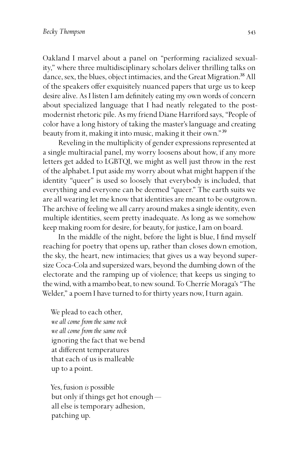Oakland I marvel about a panel on "performing racialized sexuality," where three multidisciplinary scholars deliver thrilling talks on dance, sex, the blues, object intimacies, and the Great Migration.<sup>38</sup> All of the speakers offer exquisitely nuanced papers that urge us to keep desire alive. As I listen I am definitely eating my own words of concern about specialized language that I had neatly relegated to the postmodernist rhetoric pile. As my friend Diane Harriford says, "People of color have a long history of taking the master's language and creating beauty from it, making it into music, making it their own." $^{39}$ 

Reveling in the multiplicity of gender expressions represented at a single multiracial panel, my worry loosens about how, if any more letters get added to LGBTQI, we might as well just throw in the rest of the alphabet. I put aside my worry about what might happen if the identity "queer" is used so loosely that everybody is included, that everything and everyone can be deemed "queer." The earth suits we are all wearing let me know that identities are meant to be outgrown. The archive of feeling we all carry around makes a single identity, even multiple identities, seem pretty inadequate. As long as we somehow keep making room for desire, for beauty, for justice, I am on board.

In the middle of the night, before the light is blue, I find myself reaching for poetry that opens up, rather than closes down emotion, the sky, the heart, new intimacies; that gives us a way beyond supersize Coca-Cola and supersized wars, beyond the dumbing down of the electorate and the ramping up of violence; that keeps us singing to the wind, with a mambo beat, to new sound. To Cherríe Moraga's "The Welder," a poem I have turned to for thirty years now, I turn again.

We plead to each other, *we all come from the same rock we all come from the same rock* ignoring the fact that we bend at different temperatures that each of us is malleable up to a point.

Yes, fusion *is* possible but only if things get hot enough all else is temporary adhesion, patching up.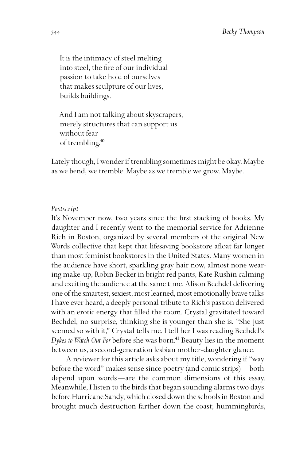It is the intimacy of steel melting into steel, the fire of our individual passion to take hold of ourselves that makes sculpture of our lives, builds buildings.

And I am not talking about skyscrapers, merely structures that can support us without fear of trembling.<sup>40</sup>

Lately though, I wonder if trembling sometimes might be okay. Maybe as we bend, we tremble. Maybe as we tremble we grow. Maybe.

## *Postscript*

It's November now, two years since the first stacking of books. My daughter and I recently went to the memorial service for Adrienne Rich in Boston, organized by several members of the original New Words collective that kept that lifesaving bookstore afloat far longer than most feminist bookstores in the United States. Many women in the audience have short, sparkling gray hair now, almost none wearing make-up, Robin Becker in bright red pants, Kate Rushin calming and exciting the audience at the same time, Alison Bechdel delivering one of the smartest, sexiest, most learned, most emotionally brave talks I have ever heard, a deeply personal tribute to Rich's passion delivered with an erotic energy that filled the room. Crystal gravitated toward Bechdel, no surprise, thinking she is younger than she is. "She just seemed so with it," Crystal tells me. I tell her I was reading Bechdel's *Dykes to Watch Out For before she was born.*<sup>41</sup> Beauty lies in the moment between us, a second-generation lesbian mother-daughter glance.

A reviewer for this article asks about my title, wondering if "way before the word" makes sense since poetry (and comic strips) —both depend upon words —are the common dimensions of this essay. Meanwhile, I listen to the birds that began sounding alarms two days before Hurricane Sandy, which closed down the schools in Boston and brought much destruction farther down the coast; hummingbirds,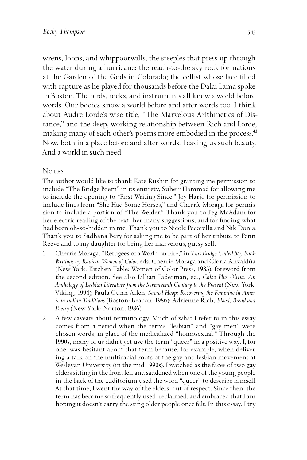wrens, loons, and whippoorwills; the steeples that press up through the water during a hurricane; the reach-to-the sky rock formations at the Garden of the Gods in Colorado; the cellist whose face filled with rapture as he played for thousands before the Dalai Lama spoke in Boston. The birds, rocks, and instruments all know a world before words. Our bodies know a world before and after words too. I think about Audre Lorde's wise title, "The Marvelous Arithmetics of Distance," and the deep, working relationship between Rich and Lorde, making many of each other's poems more embodied in the process.<sup>42</sup> Now, both in a place before and after words. Leaving us such beauty. And a world in such need.

## **NOTES**

The author would like to thank Kate Rushin for granting me permission to include "The Bridge Poem" in its entirety, Suheir Hammad for allowing me to include the opening to "First Writing Since," Joy Harjo for permission to include lines from "She Had Some Horses," and Cherríe Moraga for permission to include a portion of "The Welder." Thank you to Peg McAdam for her electric reading of the text, her many suggestions, and for finding what had been oh-so-hidden in me. Thank you to Nicole Pecorella and Nik Donia. Thank you to Sadhana Bery for asking me to be part of her tribute to Penn Reeve and to my daughter for being her marvelous, gutsy self.

- 1. Cherríe Moraga, "Refugees of a World on Fire," in *This Bridge Called My Back: Writings by Radical Women of Color*, eds. Cherríe Moraga and Gloria Anzaldúa (New York: Kitchen Table: Women of Color Press, 1983), foreword from the second edition. See also Lillian Faderman, ed., *Chloe Plus Olivia: An Anthology of Lesbian Literature from the Seventeenth Century to the Present* (New York: Viking, 1994); Paula Gunn Allen, *Sacred Hoop: Recovering the Feminine in American Indian Traditions* (Boston: Beacon, 1986); Adrienne Rich, *Blood, Bread and Poetry* (New York: Norton, 1986).
- 2. A few caveats about terminology. Much of what I refer to in this essay comes from a period when the terms "lesbian" and "gay men" were chosen words, in place of the medicalized "homosexual." Through the 1990s, many of us didn't yet use the term "queer" in a positive way. I, for one, was hesitant about that term because, for example, when delivering a talk on the multiracial roots of the gay and lesbian movement at Wesleyan University (in the mid-1990s), I watched as the faces of two gay elders sitting in the front fell and saddened when one of the young people in the back of the auditorium used the word "queer" to describe himself. At that time, I went the way of the elders, out of respect. Since then, the term has become so frequently used, reclaimed, and embraced that I am hoping it doesn't carry the sting older people once felt. In this essay, I try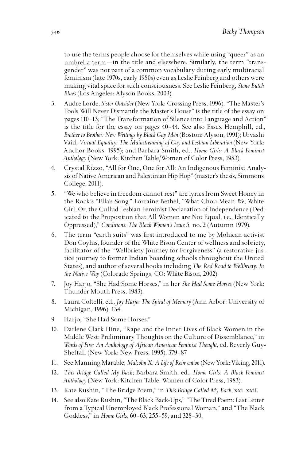to use the terms people choose for themselves while using "queer" as an umbrella term —in the title and elsewhere. Similarly, the term "transgender" was not part of a common vocabulary during early multiracial feminism (late 1970s, early 1980s) even as Leslie Feinberg and others were making vital space for such consciousness. See Leslie Feinberg, *Stone Butch Blues* (Los Angeles: Alyson Books, 2003).

- 3. Audre Lorde, *Sister Outsider* (New York: Crossing Press, 1996). "The Master's Tools Will Never Dismantle the Master's House" is the title of the essay on pages 110-13; "The Transformation of Silence into Language and Action" is the title for the essay on pages 40 –44. See also Essex Hemphill, ed., *Brother to Brother: New Writings by Black Gay Men* (Boston: Alyson, 1991); Urvashi Vaid, *Virtual Equality: The Mainstreaming of Gay and Lesbian Liberation* (New York: Anchor Books, 1995); and Barbara Smith, ed., *Home Girls: A Black Feminist Anthology* (New York: Kitchen Table/Women of Color Press, 1983).
- 4. Crystal Rizzo, "All for One, One for All: An Indigenous Feminist Analysis of Native American and Palestinian Hip Hop" (master's thesis, Simmons College, 2011).
- 5. "We who believe in freedom cannot rest" are lyrics from Sweet Honey in the Rock's "Ella's Song." Lorraine Bethel, "What Chou Mean *We*, White Girl, Or, the Cullud Lesbian Feminist Declaration of Independence (Dedicated to the Proposition that All Women are Not Equal, i.e., Identically Oppressed)," *Conditions: The Black Women's Issue* 5, no. 2 (Autumn 1979).
- 6. The term "earth suits" was first introduced to me by Mohican activist Don Coyhis, founder of the White Bison Center of wellness and sobriety, facilitator of the "Wellbriety Journey for Forgiveness" (a restorative justice journey to former Indian boarding schools throughout the United States), and author of several books including *The Red Road to Wellbriety: In the Native Way* (Colorado Springs, CO: White Bison, 2002).
- 7. Joy Harjo, "She Had Some Horses," in her *She Had Some Horses* (New York: Thunder Mouth Press, 1983).
- 8. Laura Coltelli, ed., *Joy Harjo: The Spiral of Memory* (Ann Arbor: University of Michigan, 1996), 134.
- 9. Harjo, "She Had Some Horses."
- 10. Darlene Clark Hine, "Rape and the Inner Lives of Black Women in the Middle West: Preliminary Thoughts on the Culture of Dissemblance," in *Words of Fire: An Anthology of African American Feminist Thought*, ed. Beverly Guy-Sheftall (New York: New Press, 1995), 379 – 87
- 11. See Manning Marable, *Malcolm X: A Life of Reinvention* (New York: Viking, 2011).
- 12. *This Bridge Called My Back*; Barbara Smith, ed., *Home Girls: A Black Feminist Anthology* (New York: Kitchen Table: Women of Color Press, 1983).
- 13. Kate Rushin, "The Bridge Poem," in *This Bridge Called My Back*, xxi–xxii.
- 14. See also Kate Rushin, "The Black Back-Ups," "The Tired Poem: Last Letter from a Typical Unemployed Black Professional Woman," and "The Black Goddess," in *Home Girls*, 60–63, 255–59, and 328–30.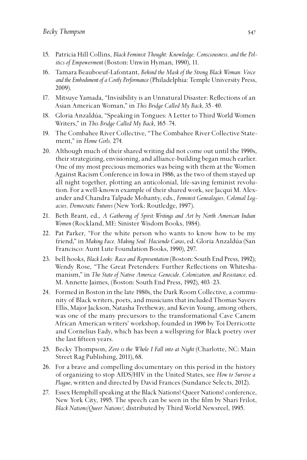- 15. Patricia Hill Collins, *Black Feminist Thought: Knowledge, Consciousness, and the Politics of Empowerment* (Boston: Unwin Hyman, 1990), 11.
- 16. Tamara Beauboeuf-Lafontant, *Behind the Mask of the Strong Black Woman: Voice and the Embodiment of a Costly Performance* (Philadelphia: Temple University Press, 2009).
- 17. Mitsuye Yamada, "Invisibility is an Unnatural Disaster: Reflections of an Asian American Woman," in *This Bridge Called My Back*, 35 –40.
- 18. Gloria Anzaldúa, "Speaking in Tongues: A Letter to Third World Women Writers," in *This Bridge Called My Back*, 165 –74.
- 19. The Combahee River Collective, "The Combahee River Collective Statement," in *Home Girls,* 274*.*
- 20. Although much of their shared writing did not come out until the 1990s, their strategizing, envisioning, and alliance-building began much earlier. One of my most precious memories was being with them at the Women Against Racism Conference in Iowa in 1986, as the two of them stayed up all night together, plotting an anticolonial, life-saving feminist revolution. For a well-known example of their shared work, see Jacqui M. Alexander and Chandra Talpade Mohanty, eds., *Feminist Genealogies, Colonial Legacies, Democratic Futures* (New York: Routledge, 1997).
- 21. Beth Brant, ed., *A Gathering of Spirit:Writings and Art by North American Indian Women* (Rockland, ME: Sinister Wisdom Books, 1984).
- 22. Pat Parker, "For the white person who wants to know how to be my friend," in *Making Face, Making Soul: Haciendo Caras*, ed. Gloria Anzaldúa (San Francisco: Aunt Lute Foundation Books, 1990), 297.
- 23. bell hooks, *Black Looks: Race and Representation* (Boston: South End Press, 1992); Wendy Rose, "The Great Pretenders: Further Reflections on Whiteshamanism," in *The State of Native America: Genocide, Colonization, and Resistance,* ed. M. Annette Jaimes, (Boston: South End Press, 1992), 403 –23.
- 24. Formed in Boston in the late 1980s, the Dark Room Collective, a community of Black writers, poets, and musicians that included Thomas Sayers Ellis, Major Jackson, Natasha Tretheway, and Kevin Young, among others, was one of the many precursors to the transformational Cave Canem African American writers' workshop, founded in 1996 by Toi Derricotte and Cornelius Eady, which has been a wellspring for Black poetry over the last fifteen years.
- 25. Becky Thompson, *Zero is the Whole I Fall into at Night* (Charlotte, NC: Main Street Rag Publishing, 2011), 68.
- 26. For a brave and compelling documentary on this period in the history of organizing to stop AIDS/HIV in the United States, see *How to Survive a Plague*, written and directed by David Frances (Sundance Selects, 2012).
- 27. Essex Hemphill speaking at the Black Nations? Queer Nations? conference, New York City, 1995. The speech can be seen in the film by Shari Frilot, *Black Nations/Queer Nations?*, distributed by Third World Newsreel, 1995.